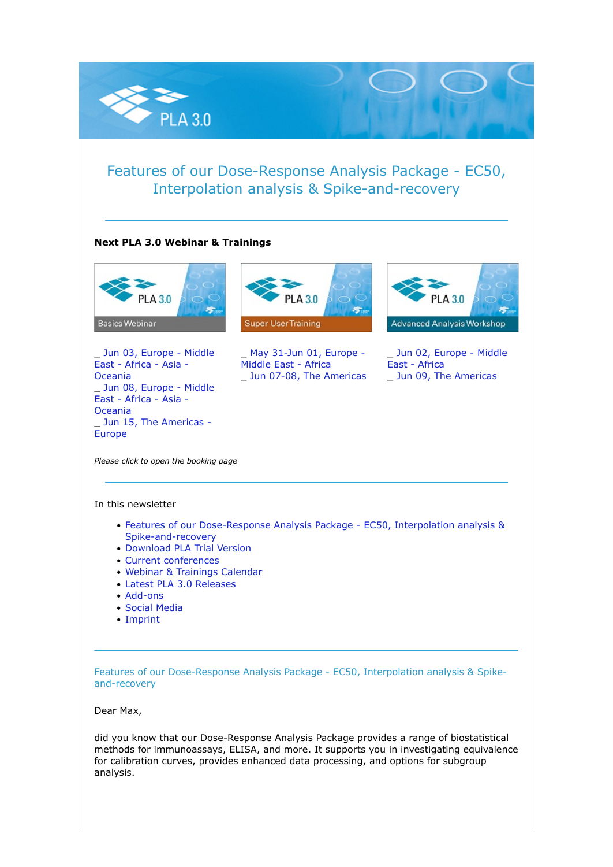

# Features of our Dose-Response Analysis Package - EC50, Interpolation analysis & Spike-and-recovery

## **Next PLA 3.0 Webinar & Trainings**



\_ [Jun 03, Europe - Middle](https://nl.stegmannsystems.com/c/104/5386513/0/0/0/358875/d701621aef.html) [East - Africa - Asia -](https://nl.stegmannsystems.com/c/104/5386513/0/0/0/358875/d701621aef.html) [Oceania](https://nl.stegmannsystems.com/c/104/5386513/0/0/0/358875/d701621aef.html) \_ [Jun 08, Europe - Middle](https://nl.stegmannsystems.com/c/104/5386513/0/0/0/358885/5e7bd1a84e.html) [East - Africa - Asia -](https://nl.stegmannsystems.com/c/104/5386513/0/0/0/358885/5e7bd1a84e.html) [Oceania](https://nl.stegmannsystems.com/c/104/5386513/0/0/0/358885/5e7bd1a84e.html) \_ [Jun 15, The Americas -](https://nl.stegmannsystems.com/c/104/5386513/0/0/0/358889/439f0aa2ee.html) [Europe](https://nl.stegmannsystems.com/c/104/5386513/0/0/0/358889/439f0aa2ee.html)



\_ [May 31-Jun 01, Europe -](https://nl.stegmannsystems.com/c/104/5386513/0/0/0/358845/dd2634a955.html) [Middle East - Africa](https://nl.stegmannsystems.com/c/104/5386513/0/0/0/358845/dd2634a955.html) \_ [Jun 07-08, The Americas](https://nl.stegmannsystems.com/c/104/5386513/0/0/0/358847/f8f8d1f8a3.html)



\_ [Jun 02, Europe - Middle](https://nl.stegmannsystems.com/c/104/5386513/0/0/0/358853/a97e1b8900.html) [East - Africa](https://nl.stegmannsystems.com/c/104/5386513/0/0/0/358853/a97e1b8900.html) \_ [Jun 09, The Americas](https://nl.stegmannsystems.com/c/104/5386513/0/0/0/358855/2a341c0199.html)

*Please click to open the booking page*

#### In this newsletter

- [Features of our Dose-Response Analysis Package EC50, Interpolation analysis &](https://nl.stegmannsystems.com/mailing/104/5386513/0/ecd0370d34/index.html#titelthema) [Spike-and-recovery](https://nl.stegmannsystems.com/mailing/104/5386513/0/ecd0370d34/index.html#titelthema)
- [Download PLA Trial Version](https://nl.stegmannsystems.com/mailing/104/5386513/0/ecd0370d34/index.html#trialversion)
- [Current conferences](https://nl.stegmannsystems.com/mailing/104/5386513/0/ecd0370d34/index.html#meetusat)
- [Webinar & Trainings Calendar](https://nl.stegmannsystems.com/mailing/104/5386513/0/ecd0370d34/index.html#trainingscalender)
- [Latest PLA 3.0 Releases](https://nl.stegmannsystems.com/mailing/104/5386513/0/ecd0370d34/index.html#latestreleases)
- [Add-ons](https://nl.stegmannsystems.com/mailing/104/5386513/0/ecd0370d34/index.html#addons)
- [Social Media](https://nl.stegmannsystems.com/mailing/104/5386513/0/ecd0370d34/index.html#socialmedia)
- [Imprint](https://nl.stegmannsystems.com/mailing/104/5386513/0/ecd0370d34/index.html#imprint)

Features of our Dose-Response Analysis Package - EC50, Interpolation analysis & Spikeand-recovery

Dear Max,

did you know that our Dose-Response Analysis Package provides a range of biostatistical methods for immunoassays, ELISA, and more. It supports you in investigating equivalence for calibration curves, provides enhanced data processing, and options for subgroup analysis.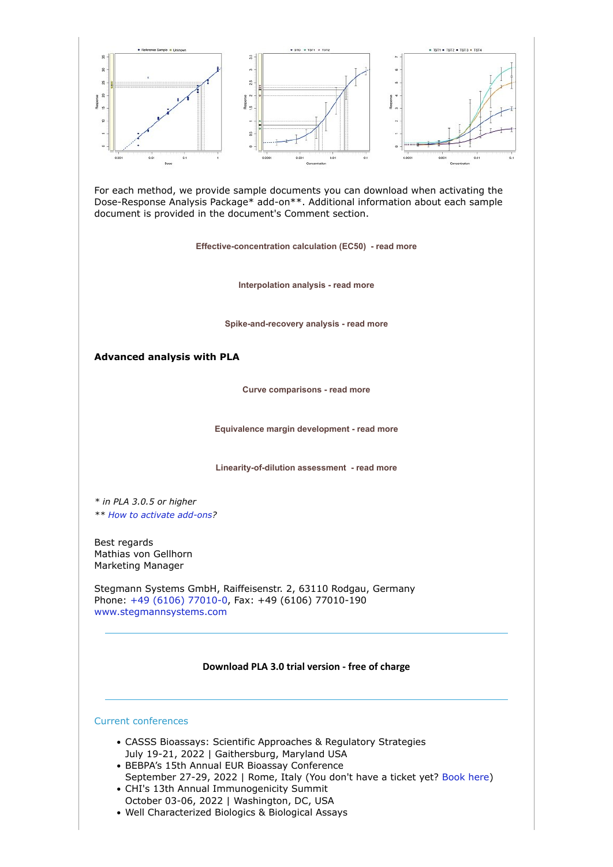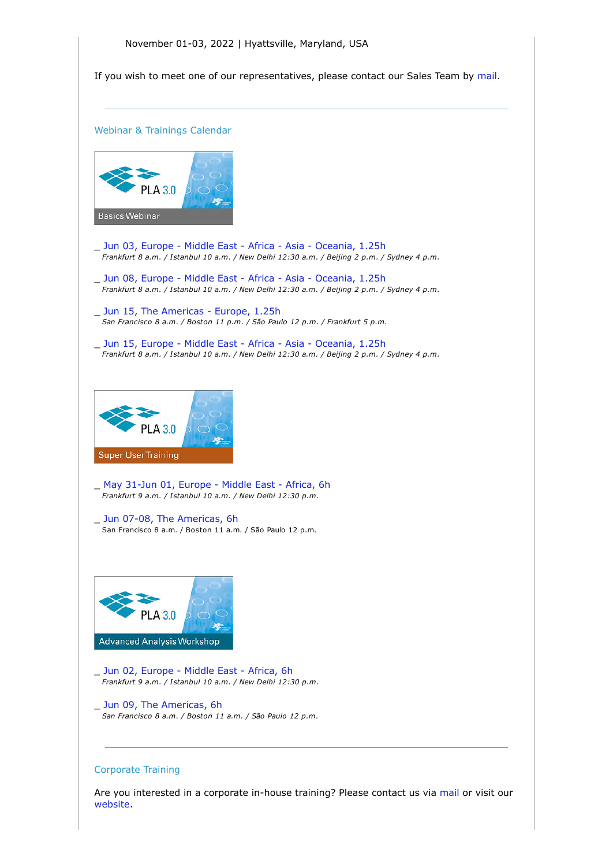If you wish to meet one of our representatives, please contact our Sales Team by [mail.](mailto:sales@bioassay.de)

Webinar & Trainings Calendar



- \_ [Jun 03, Europe Middle East Africa Asia Oceania, 1.25h](https://nl.stegmannsystems.com/c/104/5386513/0/0/0/358875/d701621aef.html)  *Frankfurt 8 a.m. / Istanbul 10 a.m. / New Delhi 12:30 a.m. / Beijing 2 p.m. / Sydney 4 p.m.*
- \_ [Jun 08, Europe Middle East Africa Asia Oceania, 1.25h](https://nl.stegmannsystems.com/c/104/5386513/0/0/0/358885/5e7bd1a84e.html)  *Frankfurt 8 a.m. / Istanbul 10 a.m. / New Delhi 12:30 a.m. / Beijing 2 p.m. / Sydney 4 p.m.*
- Jun 15, The Americas Europe, 1.25h  *San Francisco 8 a.m. / Boston 11 p.m. / São Paulo 12 p.m. / Frankfurt 5 p.m.*
- \_ [Jun 15, Europe Middle East Africa Asia Oceania, 1.25h](https://nl.stegmannsystems.com/c/104/5386513/0/0/0/358921/22e7b8d606.html)  *Frankfurt 8 a.m. / Istanbul 10 a.m. / New Delhi 12:30 a.m. / Beijing 2 p.m. / Sydney 4 p.m.*



- \_ [May 31-Jun 01, Europe Middle East Africa, 6h](https://nl.stegmannsystems.com/c/104/5386513/0/0/0/358845/dd2634a955.html) *Frankfurt 9 a.m. / Istanbul 10 a.m. / New Delhi 12:30 p.m.*
- \_ [Jun 07-08, The Americas, 6h](https://nl.stegmannsystems.com/c/104/5386513/0/0/0/358847/f8f8d1f8a3.html) San Francisco 8 a.m. / Boston 11 a.m. / São Paulo 12 p.m.



- \_ [Jun 02, Europe Middle East Africa, 6h](https://nl.stegmannsystems.com/c/104/5386513/0/0/0/358853/a97e1b8900.html)  *Frankfurt 9 a.m. / Istanbul 10 a.m. / New Delhi 12:30 p.m.*
- Jun 09, The Americas, 6h  *San Francisco 8 a.m. / Boston 11 a.m. / São Paulo 12 p.m.*

## Corporate Training

Are you interested in a corporate in-house training? Please contact us via [mail](mailto:sales@bioassay.de) or visit our [website.](https://nl.stegmannsystems.com/c/104/5386513/0/0/0/358833/891579b73b.html)